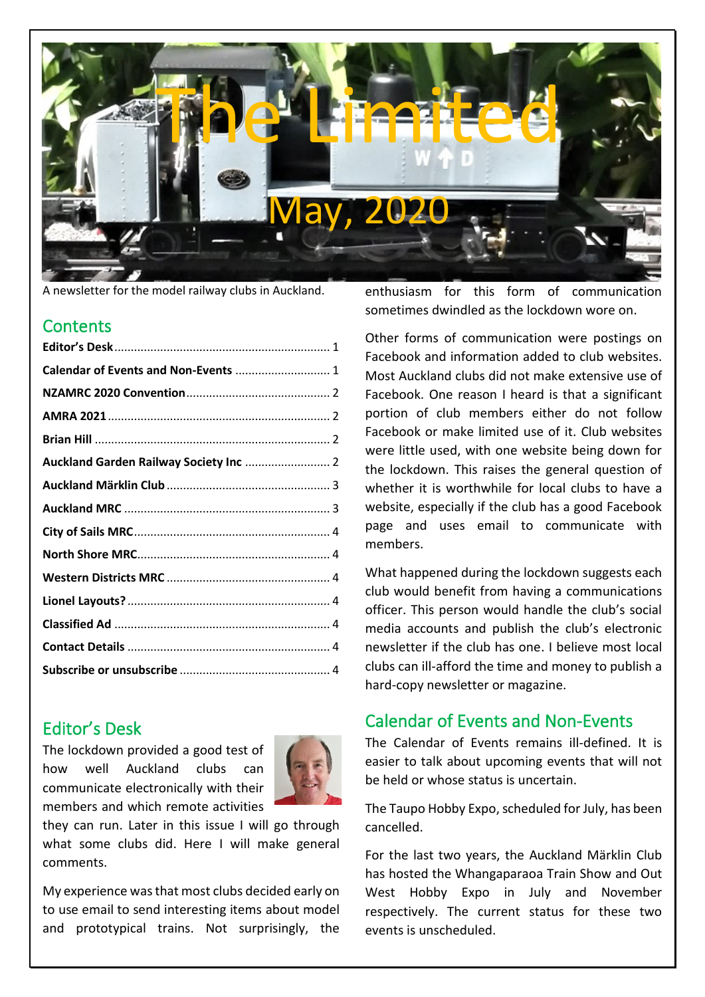

A newsletter for the model railway clubs in Auckland.

#### **Contents**

| Calendar of Events and Non-Events  1   |  |
|----------------------------------------|--|
|                                        |  |
|                                        |  |
|                                        |  |
| Auckland Garden Railway Society Inc  2 |  |
|                                        |  |
|                                        |  |
|                                        |  |
|                                        |  |
|                                        |  |
|                                        |  |
|                                        |  |
|                                        |  |
|                                        |  |
|                                        |  |

### <span id="page-0-0"></span>Editor's Desk

The lockdown provided a good test of how well Auckland clubs can communicate electronically with their members and which remote activities



they can run. Later in this issue I will go through what some clubs did. Here I will make general comments.

My experience wasthat most clubs decided early on to use email to send interesting items about model and prototypical trains. Not surprisingly, the

enthusiasm for this form of communication sometimes dwindled as the lockdown wore on.

Other forms of communication were postings on Facebook and information added to club websites. Most Auckland clubs did not make extensive use of Facebook. One reason I heard is that a significant portion of club members either do not follow Facebook or make limited use of it. Club websites were little used, with one website being down for the lockdown. This raises the general question of whether it is worthwhile for local clubs to have a website, especially if the club has a good Facebook page and uses email to communicate with members.

What happened during the lockdown suggests each club would benefit from having a communications officer. This person would handle the club's social media accounts and publish the club's electronic newsletter if the club has one. I believe most local clubs can ill-afford the time and money to publish a hard-copy newsletter or magazine.

### <span id="page-0-1"></span>Calendar of Events and Non-Events

The Calendar of Events remains ill-defined. It is easier to talk about upcoming events that will not be held or whose status is uncertain.

The Taupo Hobby Expo, scheduled for July, has been cancelled.

For the last two years, the Auckland Märklin Club has hosted the Whangaparaoa Train Show and Out West Hobby Expo in July and November respectively. The current status for these two events is unscheduled.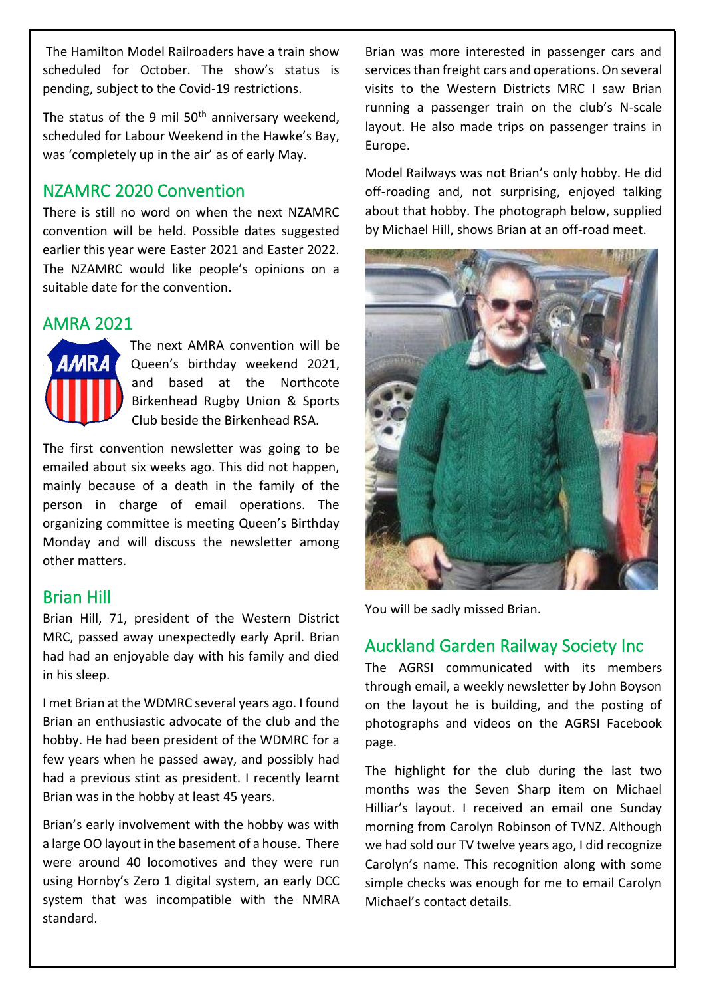The Hamilton Model Railroaders have a train show scheduled for October. The show's status is pending, subject to the Covid-19 restrictions.

The status of the 9 mil  $50<sup>th</sup>$  anniversary weekend, scheduled for Labour Weekend in the Hawke's Bay, was 'completely up in the air' as of early May.

#### <span id="page-1-0"></span>NZAMRC 2020 Convention

There is still no word on when the next NZAMRC convention will be held. Possible dates suggested earlier this year were Easter 2021 and Easter 2022. The NZAMRC would like people's opinions on a suitable date for the convention.

#### <span id="page-1-1"></span>AMRA 2021



The next AMRA convention will be Queen's birthday weekend 2021, and based at the Northcote Birkenhead Rugby Union & Sports Club beside the Birkenhead RSA.

The first convention newsletter was going to be emailed about six weeks ago. This did not happen, mainly because of a death in the family of the person in charge of email operations. The organizing committee is meeting Queen's Birthday Monday and will discuss the newsletter among other matters.

#### <span id="page-1-2"></span>Brian Hill

Brian Hill, 71, president of the Western District MRC, passed away unexpectedly early April. Brian had had an enjoyable day with his family and died in his sleep.

I met Brian at the WDMRC several years ago. I found Brian an enthusiastic advocate of the club and the hobby. He had been president of the WDMRC for a few years when he passed away, and possibly had had a previous stint as president. I recently learnt Brian was in the hobby at least 45 years.

Brian's early involvement with the hobby was with a large OO layout in the basement of a house. There were around 40 locomotives and they were run using Hornby's Zero 1 digital system, an early DCC system that was incompatible with the NMRA standard.

Brian was more interested in passenger cars and services than freight cars and operations. On several visits to the Western Districts MRC I saw Brian running a passenger train on the club's N-scale layout. He also made trips on passenger trains in Europe.

Model Railways was not Brian's only hobby. He did off-roading and, not surprising, enjoyed talking about that hobby. The photograph below, supplied by Michael Hill, shows Brian at an off-road meet.



You will be sadly missed Brian.

### <span id="page-1-3"></span>Auckland Garden Railway Society Inc

The AGRSI communicated with its members through email, a weekly newsletter by John Boyson on the layout he is building, and the posting of photographs and videos on the AGRSI Facebook page.

The highlight for the club during the last two months was the Seven Sharp item on Michael Hilliar's layout. I received an email one Sunday morning from Carolyn Robinson of TVNZ. Although we had sold our TV twelve years ago, I did recognize Carolyn's name. This recognition along with some simple checks was enough for me to email Carolyn Michael's contact details.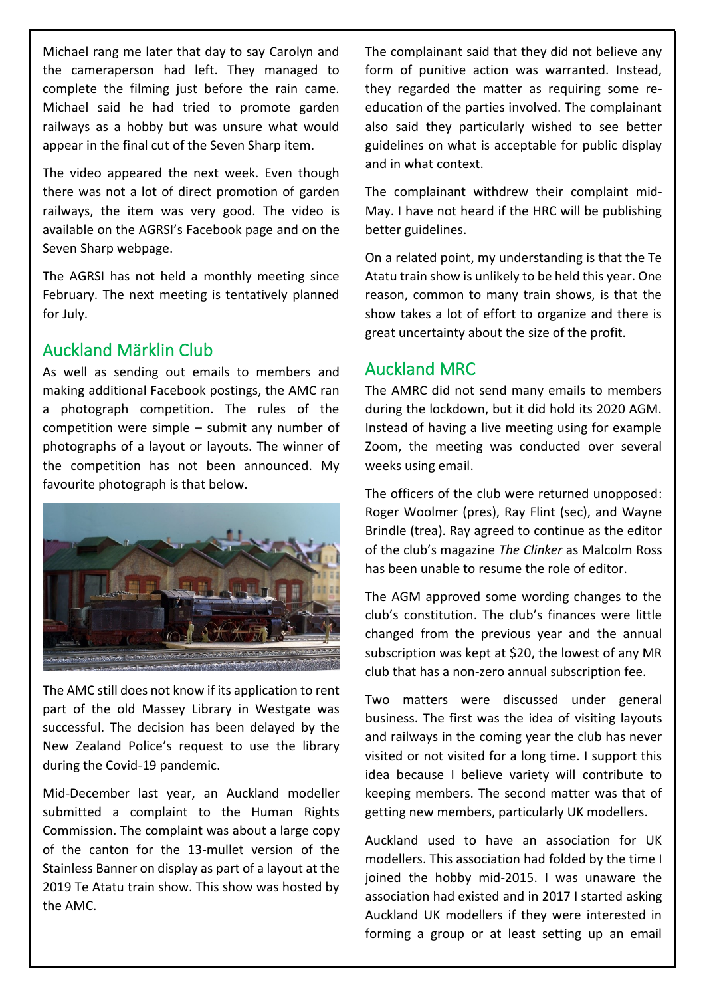Michael rang me later that day to say Carolyn and the cameraperson had left. They managed to complete the filming just before the rain came. Michael said he had tried to promote garden railways as a hobby but was unsure what would appear in the final cut of the Seven Sharp item.

The video appeared the next week. Even though there was not a lot of direct promotion of garden railways, the item was very good. The video is available on the AGRSI's Facebook page and on the Seven Sharp webpage.

The AGRSI has not held a monthly meeting since February. The next meeting is tentatively planned for July.

#### <span id="page-2-0"></span>Auckland Märklin Club

As well as sending out emails to members and making additional Facebook postings, the AMC ran a photograph competition. The rules of the competition were simple – submit any number of photographs of a layout or layouts. The winner of the competition has not been announced. My favourite photograph is that below.



The AMC still does not know if its application to rent part of the old Massey Library in Westgate was successful. The decision has been delayed by the New Zealand Police's request to use the library during the Covid-19 pandemic.

Mid-December last year, an Auckland modeller submitted a complaint to the Human Rights Commission. The complaint was about a large copy of the canton for the 13-mullet version of the Stainless Banner on display as part of a layout at the 2019 Te Atatu train show. This show was hosted by the AMC.

The complainant said that they did not believe any form of punitive action was warranted. Instead, they regarded the matter as requiring some reeducation of the parties involved. The complainant also said they particularly wished to see better guidelines on what is acceptable for public display and in what context.

The complainant withdrew their complaint mid-May. I have not heard if the HRC will be publishing better guidelines.

On a related point, my understanding is that the Te Atatu train show is unlikely to be held this year. One reason, common to many train shows, is that the show takes a lot of effort to organize and there is great uncertainty about the size of the profit.

### <span id="page-2-1"></span>Auckland MRC

The AMRC did not send many emails to members during the lockdown, but it did hold its 2020 AGM. Instead of having a live meeting using for example Zoom, the meeting was conducted over several weeks using email.

The officers of the club were returned unopposed: Roger Woolmer (pres), Ray Flint (sec), and Wayne Brindle (trea). Ray agreed to continue as the editor of the club's magazine *The Clinker* as Malcolm Ross has been unable to resume the role of editor.

The AGM approved some wording changes to the club's constitution. The club's finances were little changed from the previous year and the annual subscription was kept at \$20, the lowest of any MR club that has a non-zero annual subscription fee.

Two matters were discussed under general business. The first was the idea of visiting layouts and railways in the coming year the club has never visited or not visited for a long time. I support this idea because I believe variety will contribute to keeping members. The second matter was that of getting new members, particularly UK modellers.

Auckland used to have an association for UK modellers. This association had folded by the time I joined the hobby mid-2015. I was unaware the association had existed and in 2017 I started asking Auckland UK modellers if they were interested in forming a group or at least setting up an email